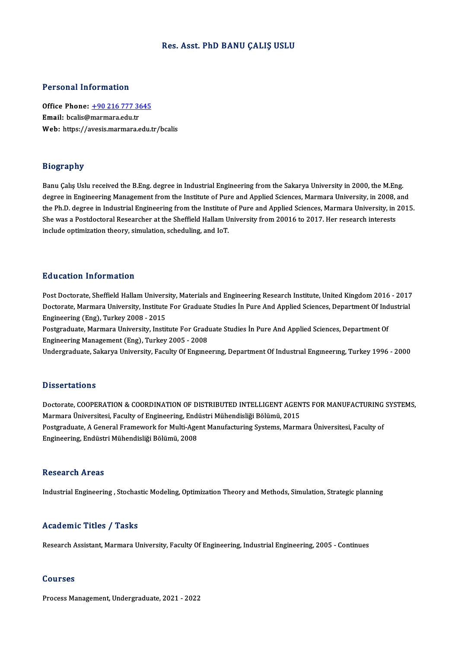### Res. Asst. PhD BANU ÇALIŞ USLU

### Personal Information

Personal Information<br>Office Phone: <u>+90 216 777 3645</u><br>Email: bealis@marmars.edu.tr 1 STOORGE INTO FINGTON<br>Office Phone: <u>+90 216 777 36</u><br>Email: bcalis@[marmara.edu.tr](tel:+90 216 777 3645) Email: bcalis@marmara.edu.tr<br>Web: https://avesis.marmara.edu.tr/bcalis

### Biography

Banu Çalış Uslu received the B.Eng. degree in Industrial Engineering from the Sakarya University in 2000, the M.Eng. degraps)<br>Banu Çalış Uslu received the B.Eng. degree in Industrial Engineering from the Sakarya University in 2000, the M.Eng.<br>degree in Engineering Management from the Institute of Pure and Applied Sciences, Marmara Univer Banu Çalış Uslu received the B.Eng. degree in Industrial Engineering from the Sakarya University in 2000, the M.Eng.<br>degree in Engineering Management from the Institute of Pure and Applied Sciences, Marmara University, in degree in Engineering Management from the Institute of Pure and Applied Sciences, Marmara University, in 2008,<br>the Ph.D. degree in Industrial Engineering from the Institute of Pure and Applied Sciences, Marmara University, the Ph.D. degree in Industrial Engineering from the Institute<br>She was a Postdoctoral Researcher at the Sheffield Hallam U<br>include optimization theory, simulation, scheduling, and IoT.

### Education Information

Post Doctorate, Sheffield Hallam University, Materials and Engineering Research Institute, United Kingdom 2016 - 2017 Doctorate, Marmara University, Institute For Graduate Studies İn Pure And Applied Sciences, Department Of Industrial Engineering (Eng), Turkey 2008 - 2015 Doctorate, Marmara University, Institute For Graduate Studies İn Pure And Applied Sciences, Department Of Ind<br>Engineering (Eng), Turkey 2008 - 2015<br>Postgraduate, Marmara University, Institute For Graduate Studies İn Pure A

Postgraduate, Marmara University, Institute For Graduate Studies İn Pure And Applied Sciences, Department Of<br>Engineering Management (Eng), Turkey 2005 - 2008<br>Undergraduate, Sakarya University, Faculty Of Engineering, Depar

Engineering Management (Eng), Turkey 2005 - 2008<br>Undergraduate, Sakarya University, Faculty Of Engineering, Department Of Industrial Engineering, Turkey 1996 - 2000

### **Dissertations**

Dissertations<br>Doctorate, COOPERATION & COORDINATION OF DISTRIBUTED INTELLIGENT AGENTS FOR MANUFACTURING SYSTEMS,<br>Marmare Universitesi, Faculty of Engineering, Endüstri Mühandieliği Bölümü, 2015 Masser tatrons<br>Doctorate, COOPERATION & COORDINATION OF DISTRIBUTED INTELLIGENT AGEN<br>Marmara Üniversitesi, Faculty of Engineering, Endüstri Mühendisliği Bölümü, 2015<br>Postsraduata A Canaral Eramewark fan Multi Agent Manufas Doctorate, COOPERATION & COORDINATION OF DISTRIBUTED INTELLIGENT AGENTS FOR MANUFACTURING<br>Marmara Üniversitesi, Faculty of Engineering, Endüstri Mühendisliği Bölümü, 2015<br>Postgraduate, A General Framework for Multi-Agent M Marmara Üniversitesi, Faculty of Engineering, End<br>Postgraduate, A General Framework for Multi-Age<br>Engineering, Endüstri Mühendisliği Bölümü, 2008 Engineering, Endüstri Mühendisliği Bölümü, 2008<br>Research Areas

Industrial Engineering, Stochastic Modeling, Optimization Theory and Methods, Simulation, Strategic planning

### Academic Titles / Tasks

Research Assistant, Marmara University, Faculty Of Engineering, Industrial Engineering, 2005 - Continues

#### Courses

Process Management, Undergraduate, 2021 - 2022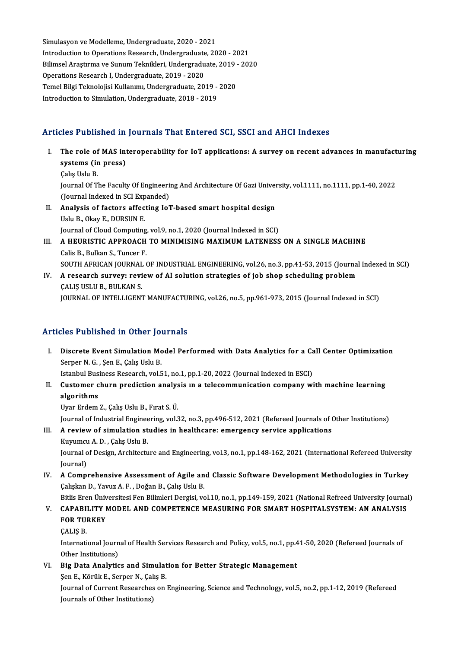Simulasyon ve Modelleme, Undergraduate, 2020 - 2021 Introduction to Operations Research, Undergraduate, 2020 - 2021 BilimselAraştırma ve SunumTeknikleri,Undergraduate,2019 -2020 Operations Research I, Undergraduate, 2019 - 2020 Bilimsel Araştırma ve Sunum Teknikleri, Undergraduate, 2019 -<br>Operations Research I, Undergraduate, 2019 - 2020<br>Temel Bilgi Teknolojisi Kullanımı, Undergraduate, 2019 - 2020<br>Introduction to Simulation, Undergraduate, 2019 Operations Research I, Undergraduate, 2019 - 2020<br>Temel Bilgi Teknolojisi Kullanımı, Undergraduate, 2019 -<br>Introduction to Simulation, Undergraduate, 2018 - 2019

# Introduction to Simulation, Undergraduate, 2018 - 2019<br>Articles Published in Journals That Entered SCI, SSCI and AHCI Indexes

- rticles Published in Journals That Entered SCI, SSCI and AHCI Indexes<br>I. The role of MAS interoperability for IoT applications: A survey on recent advances in manufacturing<br>systems (in press) systems (in press)<br>The role of MAS integrated in press) systems (in press)<br>Calış Uslu B. Journal Of The Faculty Of Engineering And Architecture Of Gazi University, vol.1111, no.1111, pp.1-40, 2022 Calış Uslu B.<br>Journal Of The Faculty Of Engineeri<br>(Journal Indexed in SCI Expanded)<br>Analysis of fastars affecting Jo<sup>n</sup>
- II. Analysis of factors affecting IoT-based smart hospital design<br>Uslu B., Okay E., DURSUN E. (Journal Indexed in SCI Exp)<br>**Analysis of factors affec**<br>Uslu B., Okay E., DURSUN E.<br>Journal of Cloud Computing Analysis of factors affecting IoT-based smart hospital design<br>Uslu B., Okay E., DURSUN E.<br>Journal of Cloud Computing, vol.9, no.1, 2020 (Journal Indexed in SCI)<br>A HEURISTIC APPROACH TO MINIMISING MAYIMUM LATENESS
- III. A HEURISTIC APPROACH TO MINIMISING MAXIMUM LATENESS ON A SINGLE MACHINE Calis B. Bulkan S. Tuncer F. Journal of Cloud Computing<br>A HEURISTIC APPROACH<br>Calis B., Bulkan S., Tuncer F.<br>SOUTH AERICAN IOURNAL ( SOUTH AFRICAN JOURNAL OF INDUSTRIAL ENGINEERING, vol.26, no.3, pp.41-53, 2015 (Journal Indexed in SCI)
- Calis B., Bulkan S., Tuncer F.<br>SOUTH AFRICAN JOURNAL OF INDUSTRIAL ENGINEERING, vol.26, no.3, pp.41-53, 2015 (Journa<br>IV. A research survey: review of AI solution strategies of job shop scheduling problem<br>CALIS USLU B. BULK SOUTH AFRICAN JOURNAL<br>A research survey: revi<br>ÇALIŞ USLU B., BULKAN S.<br>IOUPNAL OF INTELLICENT CALIŞ USLU B., BULKAN S.<br>JOURNAL OF INTELLIGENT MANUFACTURING, vol.26, no.5, pp.961-973, 2015 (Journal Indexed in SCI)

### Articles Published in Other Journals

rticles Published in Other Journals<br>I. Discrete Event Simulation Model Performed with Data Analytics for a Call Center Optimization<br>Serner N.C. Sen E. Colis Holu P. Serper N. G., Şen<br>Serper N. G., Şen E., Çalış Uslu B.<br>Istanbul Businees Bessensh val E. Discrete Event Simulation Model Performed with Data Analytics for a Ca<br>Serper N. G. , Şen E., Çalış Uslu B.<br>Istanbul Business Research, vol.51, no.1, pp.1-20, 2022 (Journal Indexed in ESCI)<br>Customer shunn prodistion analys

Serper N. G. , Şen E., Çalış Uslu B.<br>Istanbul Business Research, vol.51, no.1, pp.1-20, 2022 (Journal Indexed in ESCI)<br>II. Customer churn prediction analysis ın a telecommunication company with machine learning<br>algorithms Istanbul Bus<br>Customer c<br>algorithms<br><sup>Hyon Endom</sup>

Uyar Erdem Z., Çalış Uslu B., Fırat S. Ü.

Journal of Industrial Engineering, vol.32, no.3, pp.496-512, 2021 (Refereed Journals of Other Institutions)

III. A review of simulation studies in healthcare: emergency service applications Journal of Industrial Enginee<br>A review of simulation st<br>Kuyumcu A. D. , Çalış Uslu B.<br>Journal of Dosian, Architectu

Journal of Design, Architecture and Engineering, vol.3, no.1, pp.148-162, 2021 (International Refereed University Journal) Kuyumcu<br>Journal o<br>Journal)<br>A *Co*mn Journal of Design, Architecture and Engineering, vol.3, no.1, pp.148-162, 2021 (International Refereed University<br>Journal)<br>IV. A Comprehensive Assessment of Agile and Classic Software Development Methodologies in Turkey<br>Ca

Journal)<br>A Comprehensive Assessment of Agile an<br>Çalışkan D., Yavuz A. F. , Doğan B., Çalış Uslu B.<br>Bitlis Enen Üniversitesi Fen Bilimleri Dersisi, ve A Comprehensive Assessment of Agile and Classic Software Development Methodologies in Turkey<br>Çalışkan D., Yavuz A. F. , Doğan B., Çalış Uslu B.<br>Bitlis Eren Üniversitesi Fen Bilimleri Dergisi, vol.10, no.1, pp.149-159, 2021

## Calışkan D., Yavuz A. F. , Doğan B., Çalış Uslu B.<br>Bitlis Eren Üniversitesi Fen Bilimleri Dergisi, vol.10, no.1, pp.149-159, 2021 (National Refreed University Journa<br>V. CAPABILITY MODEL AND COMPETENCE MEASURING FOR SMA Bitlis Eren Üniv<br>CAPABILITY I<br>FOR TURKEY<br>CALIS B CAPABI<br>FOR TUI<br>ÇALIŞ B.

FOR TURKEY<br>ÇALIŞ B.<br>International Journal of Health Services Research and Policy, vol.5, no.1, pp.41-50, 2020 (Refereed Journals of CALIS B.<br>International Journ<br>Other Institutions)<br>Pis Date Analytic International Journal of Health Services Research and Policy, vol.5, no.1, pp.4<br>Other Institutions)<br>VI. Big Data Analytics and Simulation for Better Strategic Management<br>San E. Kärül: E. Sannar N. Galia B. Other Institutions)<br>VI. Big Data Analytics and Simulation for Better Strategic Management

Journal of Current Researches on Engineering, Science and Technology, vol.5, no.2, pp.1-12, 2019 (Refereed<br>Journals of Other Institutions) Sen E., Körük E., Serper N., Çalış B.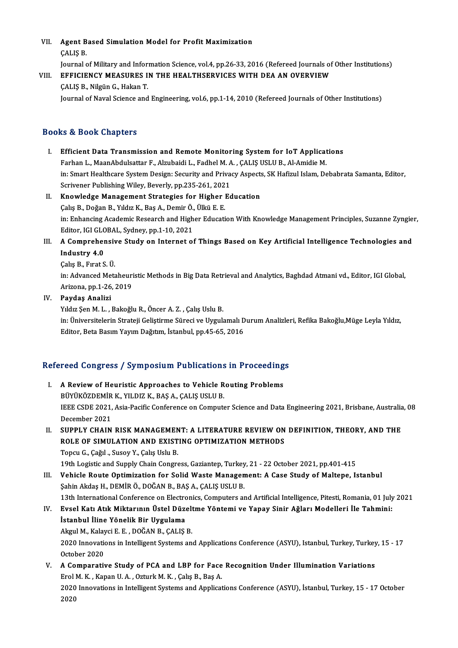VII. Agent Based Simulation Model for Profit Maximization<br>CALIS R Agent B<br>ÇALIŞ B.<br>Journal e CALIŞ B.<br>Journal of Military and Information Science, vol.4, pp.26-33, 2016 (Refereed Journals of Other Institutions)

## CALIS B.<br>Journal of Military and Information Science, vol.4, pp.26-33, 2016 (Refereed Journals of<br>VIII. EFFICIENCY MEASURES IN THE HEALTHSERVICES WITH DEA AN OVERVIEW Journal of Military and Infor<br>EFFICIENCY MEASURES I<br>ÇALIŞ B., Nilgün G., Hakan T.<br>Journal of Naval Science and

CALIŞ B., Nilgün G., Hakan T.<br>Journal of Naval Science and Engineering, vol.6, pp.1-14, 2010 (Refereed Journals of Other Institutions)

### Books&Book Chapters

- I. Efficient Data Transmission and Remote Monitoring System for IoT Applications ro & Doon Ghapters<br>Efficient Data Transmission and Remote Monitoring System for IoT Applicat<br>Farhan L., MaanAbdulsattar F., Alzubaidi L., Fadhel M. A. , ÇALIŞ USLU B., Al-Amidie M.<br>in: Smart Healthcare System Design: Segur in: Smart Healthcare System Design: Security and Privacy Aspects, SK Hafizul Islam, Debabrata Samanta, Editor, Farhan L., MaanAbdulsattar F., Alzubaidi L., Fadhel M. A<br>in: Smart Healthcare System Design: Security and Priva<br>Scrivener Publishing Wiley, Beverly, pp.235-261, 2021<br>Knowledge Management Strategies for Higher Ed Scrivener Publishing Wiley, Beverly, pp.235-261, 2021
- II. Knowledge Management Strategies for Higher Education<br>Calış B., Doğan B., Yıldız K., Baş A., Demir Ö., Ülkü E. E. Knowledge Management Strategies for Higher Education<br>Çalış B., Doğan B., Yıldız K., Baş A., Demir Ö., Ülkü E. E.<br>in: Enhancing Academic Research and Higher Education With Knowledge Management Principles, Suzanne Zyngier,<br>E Calış B., Doğan B., Yıldız K., Baş A., Demir Ö.,<br>in: Enhancing Academic Research and High<br>Editor, IGI GLOBAL, Sydney, pp.1-10, 2021<br>A Comprehensive Study on Internat of In: Enhancing Academic Research and Higher Education With Knowledge Management Principles, Suzanne Zyngie<br>Editor, IGI GLOBAL, Sydney, pp.1-10, 2021<br>III. A Comprehensive Study on Internet of Things Based on Key Artificial I
- Editor, IGI GLOBAL, Sydney, pp.1-10, 2021<br>A Comprehensive Study on Internet o<br>Industry 4.0<br>Calış B., Fırat S. Ü. III. A Comprehensive Study on Internet of Things Based on Key Artificial Intelligence Technologies and

Industry 4.0<br>Çalış B., Fırat S. Ü.<br>in: Advanced Metaheuristic Methods in Big Data Retrieval and Analytics, Baghdad Atmani vd., Editor, IGI Global, Çalış B., Fırat S. Ü.<br>in: Advanced Metaheuri<br>Arizona, pp.1-26, 2019<br>Paydas, Analizi Arizona, pp.1-26, 2019<br>IV. Paydaş Analizi

Yıldız Şen M.L., Bakoğlu R., Öncer A.Z., Çalış Uslu B.

Paydaş Analizi<br>Yıldız Şen M. L. , Bakoğlu R., Öncer A. Z. , Çalış Uslu B.<br>in: Üniversitelerin Strateji Geliştirme Süreci ve Uygulamalı Durum Analizleri, Refika Bakoğlu,Müge Leyla Yıldız,<br>Editor, Beta Basım Yayım Dağıtım, İ Yıldız Şen M. L. , Bakoğlu R., Öncer A. Z. , Çalış Uslu B.<br>in: Üniversitelerin Strateji Geliştirme Süreci ve Uygulamalı D<br>Editor, Beta Basım Yayım Dağıtım, İstanbul, pp.45-65, 2016

# editor, beta basim rayim Dagitim, istanbul, pp.45-65, 2016<br>Refereed Congress / Symposium Publications in Proceedings

- efereed Congress / Symposium Publications in Proceeding<br>I. A Review of Heuristic Approaches to Vehicle Routing Problems<br>PUVUKÖZDEMIR K. VU DIZ K. RAS A. GALIS US ULD I. A Review of Heuristic Approaches to Vehicle Routing Problems<br>BÜYÜKÖZDEMİR K., YILDIZ K., BAŞ A., ÇALIŞ USLU B. A Review of Heuristic Approaches to Vehicle Routing Problems<br>BÜYÜKÖZDEMİR K., YILDIZ K., BAŞ A., ÇALIŞ USLU B.<br>IEEE CSDE 2021, Asia-Pacific Conference on Computer Science and Data Engineering 2021, Brisbane, Australia, 08<br> BÜYÜKÖZDEMİR<br>IEEE CSDE 2021,<br>December 2021<br>SUPPL V CHAIN IEEE CSDE 2021, Asia-Pacific Conference on Computer Science and Data Engineering 2021, Brisbane, Australia<br>December 2021<br>II. SUPPLY CHAIN RISK MANAGEMENT: A LITERATURE REVIEW ON DEFINITION, THEORY, AND THE
- December 2021<br>SUPPLY CHAIN RISK MANAGEMENT: A LITERATURE REVIEW ON<br>ROLE OF SIMULATION AND EXISTING OPTIMIZATION METHODS<br>Tongy C. Coğul, Susov Y. Caks Hakı B SUPPLY CHAIN RISK MANAGEMEN<br>ROLE OF SIMULATION AND EXIST<br>Topcu G., Çağıl ., Susoy Y., Çalış Uslu B.<br>19th Logistic and Sunnly Chain Congre Topcu G., Çağıl ., Susoy Y., Çalış Uslu B.<br>19th Logistic and Supply Chain Congress, Gaziantep, Turkey, 21 - 22 October 2021, pp.401-415 Topcu G., Çağıl ., Susoy Y., Çalış Uslu B.<br>19th Logistic and Supply Chain Congress, Gaziantep, Turkey, 21 - 22 October 2021, pp.401-415<br>III. Vehicle Route Optimization for Solid Waste Management: A Case Study of Maltepe, I

19th Logistic and Supply Chain Congress, Gaziantep, Turkey<br>Vehicle Route Optimization for Solid Waste Managen<br>Şahin Akdaş H., DEMİR Ö., DOĞAN B., BAŞ A., ÇALIŞ USLU B.<br>12th International Conference on Flectronics, Computer \$ahin Akdaş H., DEMİR Ö., DOĞAN B., BAŞ A., ÇALIŞ USLU B.<br>13th International Conference on Electronics, Computers and Artificial Intelligence, Pitesti, Romania, 01 July 2021

## Şahin Akdaş H., DEMİR Ö., DOĞAN B., BAŞ A., ÇALIŞ USLU B.<br>13th International Conference on Electronics, Computers and Artificial Intelligence, Pitesti, Romania, 01 July<br>IV. Evsel Katı Atık Miktarının Üstel Düzeltme Yön 13th International Conference on Electron<br>Evsel Katı Atık Miktarının Üstel Düze<br>İstanbul İline Yönelik Bir Uygulama<br>Akrul M. Kalaysi E. E. DOĞAN B. CALIS Evsel Katı Atık Miktarının Üstel Düzelt<br>İstanbul İline Yönelik Bir Uygulama<br>Akgul M., Kalayci E. E. , DOĞAN B., ÇALIŞ B.<br>2020 İnnovatione in Intelligent Systems en

İstanbul İline Yönelik Bir Uygulama<br>Akgul M., Kalayci E. E. , DOĞAN B., ÇALIŞ B.<br>2020 Innovations in Intelligent Systems and Applications Conference (ASYU), Istanbul, Turkey, Turkey, 15 - 17<br>Ostabar 2020 Akgul M., Kalay<br>2020 Innovatio<br>October 2020<br>A Comnanatii 2020 Innovations in Intelligent Systems and Applications Conference (ASYU), Istanbul, Turkey, Turkey<br>October 2020<br>V. A Comparative Study of PCA and LBP for Face Recognition Under Illumination Variations<br>Frel M. K. Kapen II October 2020<br>V. A Comparative Study of PCA and LBP for Face Recognition Under Illumination Variations

2020 Innovations in Intelligent Systems and Applications Conference (ASYU), İstanbul, Turkey, 15 - 17 October 2020 Erol M. K., Kapan U. A., Ozturk M. K., Çalış B., Baş A.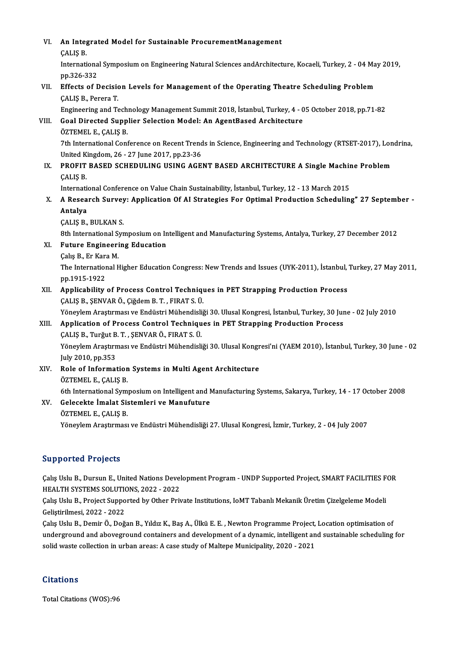| VI.   | An Integrated Model for Sustainable ProcurementManagement                                                        |
|-------|------------------------------------------------------------------------------------------------------------------|
|       | ÇALIŞ B.                                                                                                         |
|       | International Symposium on Engineering Natural Sciences and Architecture, Kocaeli, Turkey, 2 - 04 May 2019,      |
|       | pp 326-332                                                                                                       |
| VII.  | Effects of Decision Levels for Management of the Operating Theatre Scheduling Problem                            |
|       | ÇALIŞ B., Perera T.                                                                                              |
|       | Engineering and Technology Management Summit 2018, İstanbul, Turkey, 4 - 05 October 2018, pp.71-82               |
| VIII. | Goal Directed Supplier Selection Model: An AgentBased Architecture                                               |
|       | ÖZTEMEL E, ÇALIŞ B                                                                                               |
|       | 7th International Conference on Recent Trends in Science, Engineering and Technology (RTSET-2017), Londrina,     |
|       | United Kingdom, 26 - 27 June 2017, pp.23-36                                                                      |
| IX.   | PROFIT BASED SCHEDULING USING AGENT BASED ARCHITECTURE A Single Machine Problem                                  |
|       | ÇALIŞ B.                                                                                                         |
|       | International Conference on Value Chain Sustainability, İstanbul, Turkey, 12 - 13 March 2015                     |
| Χ.    | A Research Survey: Application Of AI Strategies For Optimal Production Scheduling" 27 September -                |
|       | Antalya                                                                                                          |
|       | ÇALIŞ B., BULKAN S.                                                                                              |
|       | 8th International Symposium on Intelligent and Manufacturing Systems, Antalya, Turkey, 27 December 2012          |
| XI.   | <b>Future Engineering Education</b>                                                                              |
|       | Çalış B., Er Kara M.                                                                                             |
|       | The International Higher Education Congress: New Trends and Issues (UYK-2011), İstanbul, Turkey, 27 May 2011,    |
|       | pp 1915-1922                                                                                                     |
| XII.  | Applicability of Process Control Techniques in PET Strapping Production Process                                  |
|       | ÇALIŞ B., ŞENVAR Ö., Çiğdem B. T., FIRAT S. Ü.                                                                   |
|       | Yöneylem Araştırması ve Endüstri Mühendisliği 30. Ulusal Kongresi, İstanbul, Turkey, 30 June - 02 July 2010      |
| XIII. | Application of Process Control Techniques in PET Strapping Production Process                                    |
|       | ÇALIŞ B., Turğut B. T., ŞENVAR Ö., FIRAT S. Ü.                                                                   |
|       | Yöneylem Araştırması ve Endüstri Mühendisliği 30. Ulusal Kongresi'ni (YAEM 2010), İstanbul, Turkey, 30 June - 02 |
|       | July 2010, pp. 353                                                                                               |
| XIV.  | Role of Information Systems in Multi Agent Architecture                                                          |
|       | ÖZTEMEL E, CALIS B.                                                                                              |
|       | 6th International Symposium on Intelligent and Manufacturing Systems, Sakarya, Turkey, 14 - 17 October 2008      |
| XV.   | Gelecekte İmalat Sistemleri ve Manufuture                                                                        |
|       | ÖZTEMEL E., ÇALIŞ B.                                                                                             |
|       | Yöneylem Araştırması ve Endüstri Mühendisliği 27. Ulusal Kongresi, İzmir, Turkey, 2 - 04 July 2007               |
|       |                                                                                                                  |

### Supported Projects

Supported Projects<br>Çalış Uslu B., Dursun E., United Nations Development Program - UNDP Supported Project, SMART FACILITIES FOR<br>HEALTH SYSTEMS SOLUTIONS 2022 - 2022 Eupported 1195888<br>Calis Uslu B., Dursun E., United Nations Devel<br>HEALTH SYSTEMS SOLUTIONS, 2022 - 2022<br>Calis Helu B., Preject Sunnerted by Other Priv Çalış Uslu B., Dursun E., United Nations Development Program - UNDP Supported Project, SMART FACILITIES F<br>HEALTH SYSTEMS SOLUTIONS, 2022 - 2022<br>Çalış Uslu B., Project Supported by Other Private Institutions, IoMT Tabanlı M

HEALTH SYSTEMS SOLUTIO<br>Çalış Uslu B., Project Suppo<br>Geliştirilmesi, 2022 - 2022<br>Calış Halu B., Damir Ö., Dağ Çalış Uslu B., Project Supported by Other Private Institutions, IoMT Tabanlı Mekanik Üretim Çizelgeleme Modeli<br>Geliştirilmesi, 2022 - 2022<br>Çalış Uslu B., Demir Ö., Doğan B., Yıldız K., Baş A., Ülkü E. E. , Newton Programme

Geliştirilmesi, 2022 - 2022<br>Çalış Uslu B., Demir Ö., Doğan B., Yıldız K., Baş A., Ülkü E. E. , Newton Programme Project, Location optimisation of<br>underground and aboveground containers and development of a dynamic, intelli Çalış Uslu B., Demir Ö., Doğan B., Yıldız K., Baş A., Ülkü E. E., Newton Programme Project, Location optimisation of

### **Citations**

Total Citations (WOS):96